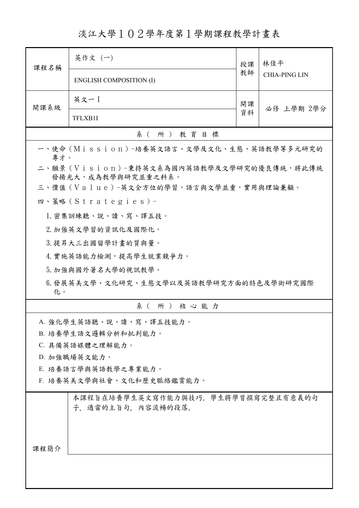淡江大學102學年度第1學期課程教學計畫表

| 課程名稱                                                             | 英作文 (一)                                                   | 授課<br>教師 | 林佳平                  |  |  |
|------------------------------------------------------------------|-----------------------------------------------------------|----------|----------------------|--|--|
|                                                                  | <b>ENGLISH COMPOSITION (I)</b>                            |          | <b>CHIA-PING LIN</b> |  |  |
| 開課系級                                                             | 英文一 I                                                     | 開課       | 必修 上學期 2學分           |  |  |
|                                                                  | TFLXB1I                                                   | 資料       |                      |  |  |
|                                                                  | 系(所)教育目標                                                  |          |                      |  |  |
| 一、使命 (Mission) -培養英文語言、文學及文化、生態、英語教學等多元研究的<br>專才。                |                                                           |          |                      |  |  |
| 二、願景 (Vision)-秉持英文系為國內英語教學及文學研究的優良傳統,將此傳統<br>發揚光大, 成為教學與研究並重之科系。 |                                                           |          |                      |  |  |
|                                                                  | 三、價值(Value)-英文全方位的學習,語言與文學並重,實用與理論兼顧。                     |          |                      |  |  |
|                                                                  | 四、策略 (Strategies) -                                       |          |                      |  |  |
|                                                                  | 1. 密集訓練聽、說、讀、寫、譯五技。                                       |          |                      |  |  |
|                                                                  | 2. 加強英文學習的資訊化及國際化。                                        |          |                      |  |  |
|                                                                  | 3. 提昇大三出國留學計畫的質與量。                                        |          |                      |  |  |
| 4. 實施英語能力檢測,提高學生就業競爭力。                                           |                                                           |          |                      |  |  |
| 5. 加強與國外著名大學的視訊教學。                                               |                                                           |          |                      |  |  |
| 6.發展英美文學、文化研究、生態文學以及英語教學研究方面的特色及學術研究國際<br>化。                     |                                                           |          |                      |  |  |
|                                                                  | 系(所)核心能力                                                  |          |                      |  |  |
|                                                                  | A. 強化學生英語聽、說、讀、寫、譯五技能力。                                   |          |                      |  |  |
| B. 培養學生語文邏輯分析和批判能力。                                              |                                                           |          |                      |  |  |
| C. 具備英語媒體之理解能力。                                                  |                                                           |          |                      |  |  |
|                                                                  | D. 加強職場英文能力。                                              |          |                      |  |  |
| E. 培養語言學與英語教學之專業能力。                                              |                                                           |          |                      |  |  |
|                                                                  | F. 培養英美文學與社會、文化和歷史脈絡鑑賞能力。                                 |          |                      |  |  |
|                                                                  | 本課程旨在培養學生英文寫作能力與技巧。學生將學習撰寫完整且有意義的句<br>子, 適當的主旨句, 內容流暢的段落。 |          |                      |  |  |
| 課程簡介                                                             |                                                           |          |                      |  |  |
|                                                                  |                                                           |          |                      |  |  |
|                                                                  |                                                           |          |                      |  |  |
|                                                                  |                                                           |          |                      |  |  |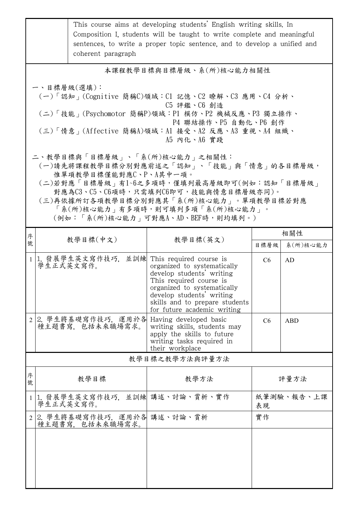|                                                                                                                                                                                                                                                                                                                    |                          | coherent paragraph                             | This course aims at developing students' English writing skills. In<br>Composition I, students will be taught to write complete and meaningful<br>sentences, to write a proper topic sentence, and to develop a unified and                     |                  |            |
|--------------------------------------------------------------------------------------------------------------------------------------------------------------------------------------------------------------------------------------------------------------------------------------------------------------------|--------------------------|------------------------------------------------|-------------------------------------------------------------------------------------------------------------------------------------------------------------------------------------------------------------------------------------------------|------------------|------------|
|                                                                                                                                                                                                                                                                                                                    | 本課程教學目標與目標層級、系(所)核心能力相關性 |                                                |                                                                                                                                                                                                                                                 |                  |            |
| 一、目標層級(選填):<br>(一)「認知」(Cognitive 簡稱C)領域:C1 記憶、C2 瞭解、C3 應用、C4 分析、<br>C5 評鑑、C6 創造<br>(二)「技能」(Psychomotor 簡稱P)領域:P1 模仿、P2 機械反應、P3 獨立操作、<br>P4 聯結操作、P5 自動化、P6 創作<br>(三)「情意」(Affective 簡稱A)領域:Al 接受、A2 反應、A3 重視、A4 組織、<br>A5 内化、A6 實踐                                                                                   |                          |                                                |                                                                                                                                                                                                                                                 |                  |            |
| 二、教學目標與「目標層級」、「系(所)核心能力」之相關性:<br>(一)請先將課程教學目標分別對應前述之「認知」、「技能」與「情意」的各目標層級,<br>惟單項教學目標僅能對應C、P、A其中一項。<br>(二)若對應「目標層級」有1~6之多項時,僅填列最高層級即可(例如:認知「目標層級」<br>對應為C3、C5、C6項時,只需填列C6即可,技能與情意目標層級亦同)。<br>(三)再依據所訂各項教學目標分別對應其「系(所)核心能力」。單項教學目標若對應<br>「系(所)核心能力   有多項時,則可填列多項「系(所)核心能力   。<br>(例如:「系(所)核心能力   可對應A、AD、BEF時,則均填列。) |                          |                                                |                                                                                                                                                                                                                                                 |                  |            |
| 序                                                                                                                                                                                                                                                                                                                  |                          | 教學目標(中文)                                       | 教學目標(英文)                                                                                                                                                                                                                                        |                  | 相關性        |
| 號                                                                                                                                                                                                                                                                                                                  |                          |                                                |                                                                                                                                                                                                                                                 | 目標層級             | 系(所)核心能力   |
| $\mathbf{1}$                                                                                                                                                                                                                                                                                                       | 學生正式英文寫作。                | 1. 發展學生英文寫作技巧,                                 | 並訓練 This required course is<br>organized to systematically<br>develop students' writing<br>This required course is<br>organized to systematically<br>develop students' writing<br>skills and to prepare students<br>for future academic writing | C6               | AD         |
|                                                                                                                                                                                                                                                                                                                    |                          | 2.學生將基礎寫作技巧,運用於各 <br>種主題書寫,包括未來職場需求。           | Having developed basic<br>writing skills, students may<br>apply the skills to future<br>writing tasks required in<br>their workplace                                                                                                            | C6               | <b>ABD</b> |
|                                                                                                                                                                                                                                                                                                                    |                          |                                                | 教學目標之教學方法與評量方法                                                                                                                                                                                                                                  |                  |            |
| 序<br>號                                                                                                                                                                                                                                                                                                             |                          | 教學目標                                           | 教學方法                                                                                                                                                                                                                                            | 評量方法             |            |
| $\mathbf{1}$                                                                                                                                                                                                                                                                                                       | 學生正式英文寫作。                | 1. 發展學生英文寫作技巧,                                 | 並訓練 講述、討論、賞析、實作                                                                                                                                                                                                                                 | 紙筆測驗、報告、上課<br>表現 |            |
| 2                                                                                                                                                                                                                                                                                                                  |                          | 2. 學生將基礎寫作技巧, 運用於各 講述、討論、賞析<br>種主題書寫,包括未來職場需求。 |                                                                                                                                                                                                                                                 | 實作               |            |
|                                                                                                                                                                                                                                                                                                                    |                          |                                                |                                                                                                                                                                                                                                                 |                  |            |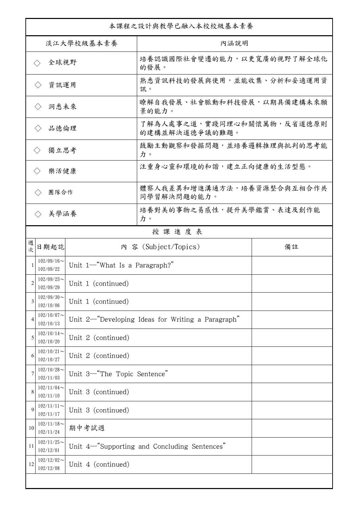| 本課程之設計與教學已融入本校校級基本素養                 |                            |                               |                                                   |    |  |
|--------------------------------------|----------------------------|-------------------------------|---------------------------------------------------|----|--|
| 淡江大學校級基本素養                           |                            |                               | 內涵說明                                              |    |  |
| 全球視野<br>$\langle \ \rangle$          |                            |                               | 培養認識國際社會變遷的能力,以更寬廣的視野了解全球化<br>的發展。                |    |  |
| 資訊運用<br>$\langle$ $\rangle$          |                            |                               | 熟悉資訊科技的發展與使用,並能收集、分析和妥適運用資<br>訊。                  |    |  |
| 洞悉未來<br>$\langle \ \rangle$          |                            |                               | 瞭解自我發展、社會脈動和科技發展,以期具備建構未來願<br>景的能力。               |    |  |
| 品德倫理<br>$\langle$ $\rangle$          |                            |                               | 了解為人處事之道,實踐同理心和關懷萬物,反省道德原則<br>的建構並解決道德爭議的難題。      |    |  |
| 獨立思考<br>$\langle \rangle$            |                            |                               | 鼓勵主動觀察和發掘問題,並培養邏輯推理與批判的思考能<br>力。                  |    |  |
| 樂活健康<br>$\left\langle \right\rangle$ |                            |                               | 注重身心靈和環境的和諧,建立正向健康的生活型態。                          |    |  |
| 團隊合作<br>$\langle \, \rangle$         |                            |                               | 體察人我差異和增進溝通方法,培養資源整合與互相合作共<br>同學習解決問題的能力。         |    |  |
|                                      | 美學涵養<br>$\langle \rangle$  |                               | 培養對美的事物之易感性,提升美學鑑賞、表達及創作能<br>力。                   |    |  |
|                                      |                            |                               | 授課進度表                                             |    |  |
| 週<br>次                               | 日期起訖                       |                               | 內 容 (Subject/Topics)                              | 備註 |  |
|                                      | $102/09/16$ ~<br>102/09/22 | Unit 1-"What Is a Paragraph?" |                                                   |    |  |
| 2                                    | $102/09/23$ ~<br>102/09/29 | Unit 1 (continued)            |                                                   |    |  |
| 3                                    | $102/09/30$ ~<br>102/10/06 | Unit 1 (continued)            |                                                   |    |  |
| 4                                    | $102/10/07$ ~<br>102/10/13 |                               | Unit 2-"Developing Ideas for Writing a Paragraph" |    |  |
| 5                                    | $102/10/14$ ~<br>102/10/20 | Unit 2 (continued)            |                                                   |    |  |
| 6                                    | $102/10/21$ ~<br>102/10/27 | Unit 2 (continued)            |                                                   |    |  |
| 7                                    | $102/10/28$ ~<br>102/11/03 | Unit 3-"The Topic Sentence"   |                                                   |    |  |
| 8                                    | $102/11/04$ ~<br>102/11/10 | Unit 3 (continued)            |                                                   |    |  |
| $\mathbf Q$                          | $102/11/11$ ~<br>102/11/17 | Unit 3 (continued)            |                                                   |    |  |
| 10                                   | $102/11/18$ ~<br>102/11/24 | 期中考試週                         |                                                   |    |  |
| 11                                   | $102/11/25$ ~<br>102/12/01 |                               | Unit 4-"Supporting and Concluding Sentences"      |    |  |
| 12                                   | $102/12/02$ ~<br>102/12/08 | Unit 4 (continued)            |                                                   |    |  |
|                                      |                            |                               |                                                   |    |  |